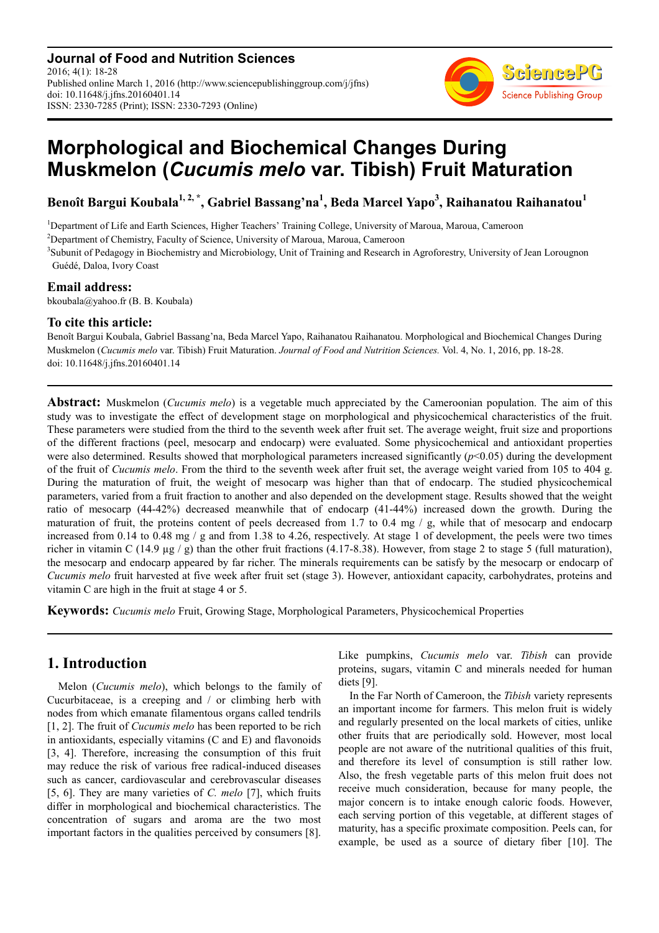**Journal of Food and Nutrition Sciences** 2016; 4(1): 18-28 Published online March 1, 2016 (http://www.sciencepublishinggroup.com/j/jfns) doi: 10.11648/j.jfns.20160401.14 ISSN: 2330-7285 (Print); ISSN: 2330-7293 (Online)



# **Morphological and Biochemical Changes During Muskmelon (***Cucumis melo* **var. Tibish) Fruit Maturation**

**Benoît Bargui Koubala1, 2, \*, Gabriel Bassang'na<sup>1</sup> , Beda Marcel Yapo<sup>3</sup> , Raihanatou Raihanatou<sup>1</sup>**

<sup>1</sup>Department of Life and Earth Sciences, Higher Teachers' Training College, University of Maroua, Maroua, Cameroon

<sup>2</sup>Department of Chemistry, Faculty of Science, University of Maroua, Maroua, Cameroon

<sup>3</sup>Subunit of Pedagogy in Biochemistry and Microbiology, Unit of Training and Research in Agroforestry, University of Jean Lorougnon Guédé, Daloa, Ivory Coast

## **Email address:**

bkoubala@yahoo.fr (B. B. Koubala)

## **To cite this article:**

Benoît Bargui Koubala, Gabriel Bassang'na, Beda Marcel Yapo, Raihanatou Raihanatou. Morphological and Biochemical Changes During Muskmelon (*Cucumis melo* var. Tibish) Fruit Maturation. *Journal of Food and Nutrition Sciences.* Vol. 4, No. 1, 2016, pp. 18-28. doi: 10.11648/j.jfns.20160401.14

**Abstract:** Muskmelon (*Cucumis melo*) is a vegetable much appreciated by the Cameroonian population. The aim of this study was to investigate the effect of development stage on morphological and physicochemical characteristics of the fruit. These parameters were studied from the third to the seventh week after fruit set. The average weight, fruit size and proportions of the different fractions (peel, mesocarp and endocarp) were evaluated. Some physicochemical and antioxidant properties were also determined. Results showed that morphological parameters increased significantly (*p*<0.05) during the development of the fruit of *Cucumis melo*. From the third to the seventh week after fruit set, the average weight varied from 105 to 404 g. During the maturation of fruit, the weight of mesocarp was higher than that of endocarp. The studied physicochemical parameters, varied from a fruit fraction to another and also depended on the development stage. Results showed that the weight ratio of mesocarp (44-42%) decreased meanwhile that of endocarp (41-44%) increased down the growth. During the maturation of fruit, the proteins content of peels decreased from 1.7 to 0.4 mg / g, while that of mesocarp and endocarp increased from  $0.14$  to  $0.48$  mg  $/$  g and from 1.38 to 4.26, respectively. At stage 1 of development, the peels were two times richer in vitamin C (14.9  $\mu$ g / g) than the other fruit fractions (4.17-8.38). However, from stage 2 to stage 5 (full maturation), the mesocarp and endocarp appeared by far richer. The minerals requirements can be satisfy by the mesocarp or endocarp of *Cucumis melo* fruit harvested at five week after fruit set (stage 3). However, antioxidant capacity, carbohydrates, proteins and vitamin C are high in the fruit at stage 4 or 5.

**Keywords:** *Cucumis melo* Fruit, Growing Stage, Morphological Parameters, Physicochemical Properties

# **1. Introduction**

Melon (*Cucumis melo*), which belongs to the family of Cucurbitaceae, is a creeping and / or climbing herb with nodes from which emanate filamentous organs called tendrils [1, 2]. The fruit of *Cucumis melo* has been reported to be rich in antioxidants, especially vitamins (C and E) and flavonoids [3, 4]. Therefore, increasing the consumption of this fruit may reduce the risk of various free radical-induced diseases such as cancer, cardiovascular and cerebrovascular diseases [5, 6]. They are many varieties of *C. melo* [7], which fruits differ in morphological and biochemical characteristics. The concentration of sugars and aroma are the two most important factors in the qualities perceived by consumers [8].

Like pumpkins, *Cucumis melo* var. *Tibish* can provide proteins, sugars, vitamin C and minerals needed for human diets [9].

In the Far North of Cameroon, the *Tibish* variety represents an important income for farmers. This melon fruit is widely and regularly presented on the local markets of cities, unlike other fruits that are periodically sold. However, most local people are not aware of the nutritional qualities of this fruit, and therefore its level of consumption is still rather low. Also, the fresh vegetable parts of this melon fruit does not receive much consideration, because for many people, the major concern is to intake enough caloric foods. However, each serving portion of this vegetable, at different stages of maturity, has a specific proximate composition. Peels can, for example, be used as a source of dietary fiber [10]. The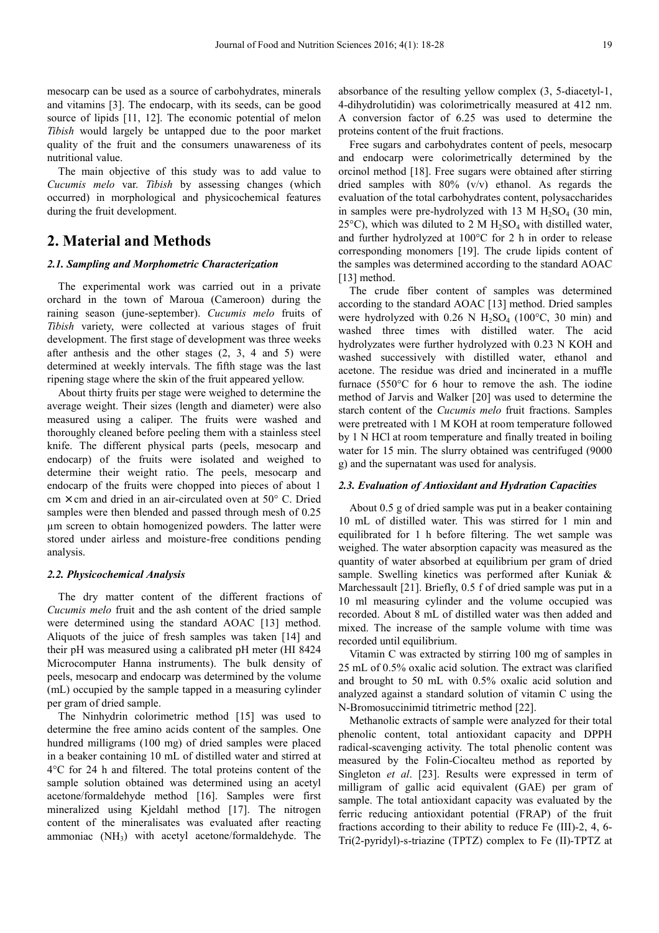mesocarp can be used as a source of carbohydrates, minerals and vitamins [3]. The endocarp, with its seeds, can be good source of lipids [11, 12]. The economic potential of melon *Tibish* would largely be untapped due to the poor market quality of the fruit and the consumers unawareness of its nutritional value.

The main objective of this study was to add value to *Cucumis melo* var. *Tibish* by assessing changes (which occurred) in morphological and physicochemical features during the fruit development.

## **2. Material and Methods**

## *2.1. Sampling and Morphometric Characterization*

The experimental work was carried out in a private orchard in the town of Maroua (Cameroon) during the raining season (june-september). *Cucumis melo* fruits of *Tibish* variety, were collected at various stages of fruit development. The first stage of development was three weeks after anthesis and the other stages (2, 3, 4 and 5) were determined at weekly intervals. The fifth stage was the last ripening stage where the skin of the fruit appeared yellow.

About thirty fruits per stage were weighed to determine the average weight. Their sizes (length and diameter) were also measured using a caliper. The fruits were washed and thoroughly cleaned before peeling them with a stainless steel knife. The different physical parts (peels, mesocarp and endocarp) of the fruits were isolated and weighed to determine their weight ratio. The peels, mesocarp and endocarp of the fruits were chopped into pieces of about 1  $cm \times cm$  and dried in an air-circulated oven at 50 $^{\circ}$  C. Dried samples were then blended and passed through mesh of 0.25 µm screen to obtain homogenized powders. The latter were stored under airless and moisture-free conditions pending analysis.

### *2.2. Physicochemical Analysis*

The dry matter content of the different fractions of *Cucumis melo* fruit and the ash content of the dried sample were determined using the standard AOAC [13] method. Aliquots of the juice of fresh samples was taken [14] and their pH was measured using a calibrated pH meter (HI 8424 Microcomputer Hanna instruments). The bulk density of peels, mesocarp and endocarp was determined by the volume (mL) occupied by the sample tapped in a measuring cylinder per gram of dried sample.

The Ninhydrin colorimetric method [15] was used to determine the free amino acids content of the samples. One hundred milligrams (100 mg) of dried samples were placed in a beaker containing 10 mL of distilled water and stirred at 4°C for 24 h and filtered. The total proteins content of the sample solution obtained was determined using an acetyl acetone/formaldehyde method [16]. Samples were first mineralized using Kjeldahl method [17]. The nitrogen content of the mineralisates was evaluated after reacting ammoniac  $(NH_3)$  with acetyl acetone/formaldehyde. The

absorbance of the resulting yellow complex (3, 5-diacetyl-1, 4-dihydrolutidin) was colorimetrically measured at 412 nm. A conversion factor of 6.25 was used to determine the proteins content of the fruit fractions.

Free sugars and carbohydrates content of peels, mesocarp and endocarp were colorimetrically determined by the orcinol method [18]. Free sugars were obtained after stirring dried samples with 80% (v/v) ethanol. As regards the evaluation of the total carbohydrates content, polysaccharides in samples were pre-hydrolyzed with 13 M  $H<sub>2</sub>SO<sub>4</sub>$  (30 min, 25°C), which was diluted to 2 M  $H_2SO_4$  with distilled water, and further hydrolyzed at 100°C for 2 h in order to release corresponding monomers [19]. The crude lipids content of the samples was determined according to the standard AOAC [13] method.

The crude fiber content of samples was determined according to the standard AOAC [13] method. Dried samples were hydrolyzed with  $0.26$  N H<sub>2</sub>SO<sub>4</sub> (100°C, 30 min) and washed three times with distilled water. The acid hydrolyzates were further hydrolyzed with 0.23 N KOH and washed successively with distilled water, ethanol and acetone. The residue was dried and incinerated in a muffle furnace (550°C for 6 hour to remove the ash. The iodine method of Jarvis and Walker [20] was used to determine the starch content of the *Cucumis melo* fruit fractions. Samples were pretreated with 1 M KOH at room temperature followed by 1 N HCl at room temperature and finally treated in boiling water for 15 min. The slurry obtained was centrifuged (9000 g) and the supernatant was used for analysis.

#### *2.3. Evaluation of Antioxidant and Hydration Capacities*

About 0.5 g of dried sample was put in a beaker containing 10 mL of distilled water. This was stirred for 1 min and equilibrated for 1 h before filtering. The wet sample was weighed. The water absorption capacity was measured as the quantity of water absorbed at equilibrium per gram of dried sample. Swelling kinetics was performed after Kuniak & Marchessault [21]. Briefly, 0.5 f of dried sample was put in a 10 ml measuring cylinder and the volume occupied was recorded. About 8 mL of distilled water was then added and mixed. The increase of the sample volume with time was recorded until equilibrium.

Vitamin C was extracted by stirring 100 mg of samples in 25 mL of 0.5% oxalic acid solution. The extract was clarified and brought to 50 mL with 0.5% oxalic acid solution and analyzed against a standard solution of vitamin C using the N-Bromosuccinimid titrimetric method [22].

Methanolic extracts of sample were analyzed for their total phenolic content, total antioxidant capacity and DPPH radical-scavenging activity. The total phenolic content was measured by the Folin-Ciocalteu method as reported by Singleton *et al*. [23]. Results were expressed in term of milligram of gallic acid equivalent (GAE) per gram of sample. The total antioxidant capacity was evaluated by the ferric reducing antioxidant potential (FRAP) of the fruit fractions according to their ability to reduce Fe (III)-2, 4, 6- Tri(2-pyridyl)-s-triazine (TPTZ) complex to Fe (II)-TPTZ at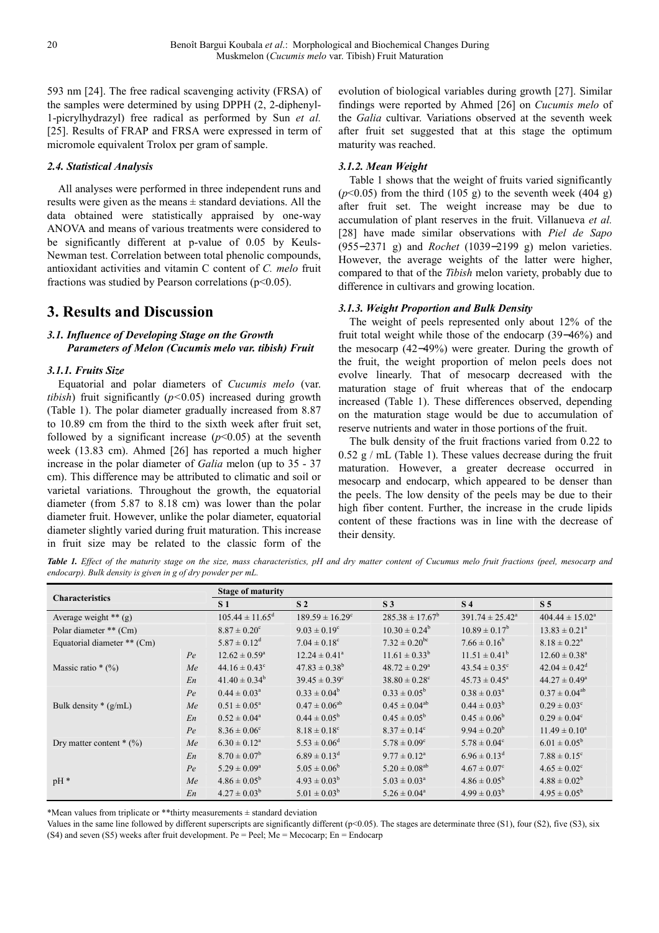593 nm [24]. The free radical scavenging activity (FRSA) of the samples were determined by using DPPH (2, 2-diphenyl-1-picrylhydrazyl) free radical as performed by Sun *et al.* [25]. Results of FRAP and FRSA were expressed in term of micromole equivalent Trolox per gram of sample.

## *2.4. Statistical Analysis*

All analyses were performed in three independent runs and results were given as the means  $\pm$  standard deviations. All the data obtained were statistically appraised by one-way ANOVA and means of various treatments were considered to be significantly different at p-value of 0.05 by Keuls-Newman test. Correlation between total phenolic compounds, antioxidant activities and vitamin C content of *C. melo* fruit fractions was studied by Pearson correlations ( $p<0.05$ ).

# **3. Results and Discussion**

## *3.1. Influence of Developing Stage on the Growth Parameters of Melon (Cucumis melo var. tibish) Fruit*

## *3.1.1. Fruits Size*

Equatorial and polar diameters of *Cucumis melo* (var. *tibish*) fruit significantly (*p<*0.05) increased during growth (Table 1). The polar diameter gradually increased from 8.87 to 10.89 cm from the third to the sixth week after fruit set, followed by a significant increase  $(p<0.05)$  at the seventh week (13.83 cm). Ahmed [26] has reported a much higher increase in the polar diameter of *Galia* melon (up to 35 - 37 cm). This difference may be attributed to climatic and soil or varietal variations. Throughout the growth, the equatorial diameter (from 5.87 to 8.18 cm) was lower than the polar diameter fruit. However, unlike the polar diameter, equatorial diameter slightly varied during fruit maturation. This increase in fruit size may be related to the classic form of the

evolution of biological variables during growth [27]. Similar findings were reported by Ahmed [26] on *Cucumis melo* of the *Galia* cultivar. Variations observed at the seventh week after fruit set suggested that at this stage the optimum maturity was reached.

## *3.1.2. Mean Weight*

Table 1 shows that the weight of fruits varied significantly  $(p<0.05)$  from the third (105 g) to the seventh week (404 g) after fruit set. The weight increase may be due to accumulation of plant reserves in the fruit. Villanueva *et al.* [28] have made similar observations with *Piel de Sapo*  (955−2371 g) and *Rochet* (1039−2199 g) melon varieties. However, the average weights of the latter were higher, compared to that of the *Tibish* melon variety, probably due to difference in cultivars and growing location.

#### *3.1.3. Weight Proportion and Bulk Density*

The weight of peels represented only about 12% of the fruit total weight while those of the endocarp (39−46%) and the mesocarp (42−49%) were greater. During the growth of the fruit, the weight proportion of melon peels does not evolve linearly. That of mesocarp decreased with the maturation stage of fruit whereas that of the endocarp increased (Table 1). These differences observed, depending on the maturation stage would be due to accumulation of reserve nutrients and water in those portions of the fruit.

The bulk density of the fruit fractions varied from 0.22 to  $0.52$  g / mL (Table 1). These values decrease during the fruit maturation. However, a greater decrease occurred in mesocarp and endocarp, which appeared to be denser than the peels. The low density of the peels may be due to their high fiber content. Further, the increase in the crude lipids content of these fractions was in line with the decrease of their density.

*Table 1. Effect of the maturity stage on the size, mass characteristics, pH and dry matter content of Cucumus melo fruit fractions (peel, mesocarp and endocarp). Bulk density is given in g of dry powder per mL.* 

| <b>Characteristics</b>      |    | <b>Stage of maturity</b>      |                              |                               |                               |                               |  |  |
|-----------------------------|----|-------------------------------|------------------------------|-------------------------------|-------------------------------|-------------------------------|--|--|
|                             |    | S <sub>1</sub>                | S <sub>2</sub>               | S <sub>3</sub>                | S <sub>4</sub>                | S <sub>5</sub>                |  |  |
| Average weight $**$ (g)     |    | $105.44 \pm 11.65^{\text{d}}$ | $189.59 \pm 16.29^{\circ}$   | $285.38 \pm 17.67^b$          | $391.74 \pm 25.42^a$          | $404.44 \pm 15.02^{\text{a}}$ |  |  |
| Polar diameter ** (Cm)      |    | $8.87 \pm 0.20^{\circ}$       | $9.03 \pm 0.19^{\circ}$      | $10.30 \pm 0.24^b$            | $10.89 \pm 0.17^b$            | $13.83 \pm 0.21^a$            |  |  |
| Equatorial diameter ** (Cm) |    | $5.87 \pm 0.12^d$             | $7.04 \pm 0.18$ <sup>c</sup> | $7.32 \pm 0.20^{\rm bc}$      | $7.66 \pm 0.16^b$             | $8.18 \pm 0.22^{\text{a}}$    |  |  |
|                             | Pe | $12.62 \pm 0.59^{\circ}$      | $12.24 \pm 0.41^a$           | $11.61 \pm 0.33^b$            | $11.51 \pm 0.41^b$            | $12.60 \pm 0.38^a$            |  |  |
| Massic ratio $*(\%)$        | Me | $44.16 \pm 0.43$ <sup>c</sup> | $47.83 \pm 0.38^b$           | $48.72 \pm 0.29^a$            | $43.54 \pm 0.35$ <sup>c</sup> | $42.04 \pm 0.42^d$            |  |  |
|                             | En | $41.40 \pm 0.34^b$            | $39.45 \pm 0.39^{\circ}$     | $38.80 \pm 0.28$ <sup>c</sup> | $45.73 \pm 0.45^{\circ}$      | $44.27 \pm 0.49^{\circ}$      |  |  |
|                             | Pe | $0.44 \pm 0.03^{\circ}$       | $0.33 \pm 0.04^b$            | $0.33 \pm 0.05^b$             | $0.38 \pm 0.03^{\text{a}}$    | $0.37 \pm 0.04^{ab}$          |  |  |
| Bulk density $*(g/mL)$      | Me | $0.51 \pm 0.05^{\text{a}}$    | $0.47 \pm 0.06^{ab}$         | $0.45 \pm 0.04^{ab}$          | $0.44 \pm 0.03^b$             | $0.29 \pm 0.03^{\circ}$       |  |  |
|                             | En | $0.52 \pm 0.04^a$             | $0.44 \pm 0.05^{\rm b}$      | $0.45 \pm 0.05^{\rm b}$       | $0.45 \pm 0.06^b$             | $0.29 \pm 0.04^c$             |  |  |
|                             | Pe | $8.36 \pm 0.06^{\circ}$       | $8.18 \pm 0.18$ <sup>c</sup> | $8.37 \pm 0.14^c$             | $9.94 \pm 0.20^b$             | $11.49 \pm 0.10^a$            |  |  |
| Dry matter content $*(\%)$  | Me | $6.30 \pm 0.12^a$             | $5.53 \pm 0.06^d$            | $5.78 \pm 0.09^{\circ}$       | $5.78 \pm 0.04^{\circ}$       | $6.01 \pm 0.05^{\rm b}$       |  |  |
|                             | En | $8.70 \pm 0.07^b$             | $6.89 \pm 0.13^d$            | $9.77 \pm 0.12$ <sup>a</sup>  | $6.96 \pm 0.13^d$             | $7.88 \pm 0.15$ <sup>c</sup>  |  |  |
|                             | Pe | $5.29 \pm 0.09^a$             | $5.05 \pm 0.06^b$            | $5.20 \pm 0.08^{ab}$          | $4.67 \pm 0.07^c$             | $4.65 \pm 0.02$ <sup>c</sup>  |  |  |
| $pH*$                       | Me | $4.86 \pm 0.05^{\rm b}$       | $4.93 \pm 0.03^b$            | $5.03 \pm 0.03^{\text{a}}$    | $4.86 \pm 0.05^{\rm b}$       | $4.88 \pm 0.02^b$             |  |  |
|                             | En | $4.27 \pm 0.03^b$             | $5.01 \pm 0.03^b$            | $5.26 \pm 0.04^a$             | $4.99 \pm 0.03^b$             | $4.95 \pm 0.05^{\rm b}$       |  |  |

\*Mean values from triplicate or \*\*thirty measurements ± standard deviation

Values in the same line followed by different superscripts are significantly different  $(p<0.05)$ . The stages are determinate three (S1), four (S2), five (S3), six (S4) and seven (S5) weeks after fruit development. Pe = Peel; Me = Mecocarp; En = Endocarp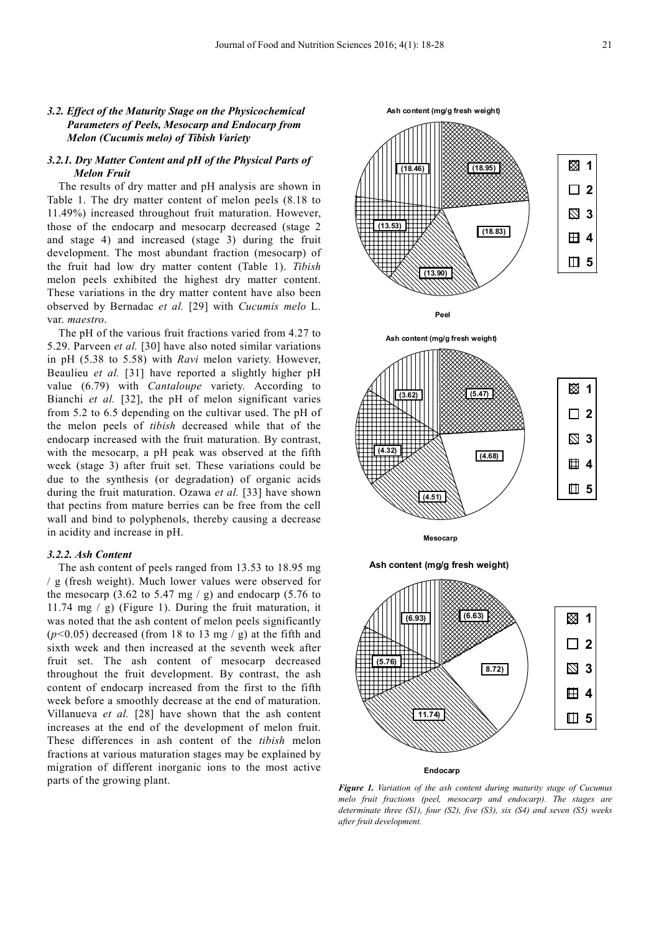## *3.2. Effect of the Maturity Stage on the Physicochemical Parameters of Peels, Mesocarp and Endocarp from Melon (Cucumis melo) of Tibish Variety*

## *3.2.1. Dry Matter Content and pH of the Physical Parts of Melon Fruit*

The results of dry matter and pH analysis are shown in Table 1. The dry matter content of melon peels (8.18 to 11.49%) increased throughout fruit maturation. However, those of the endocarp and mesocarp decreased (stage 2 and stage 4) and increased (stage 3) during the fruit development. The most abundant fraction (mesocarp) of the fruit had low dry matter content (Table 1). *Tibish* melon peels exhibited the highest dry matter content. These variations in the dry matter content have also been observed by Bernadac *et al.* [29] with *Cucumis melo* L. var. *maestro*.

The pH of the various fruit fractions varied from 4.27 to 5.29. Parveen *et al.* [30] have also noted similar variations in pH (5.38 to 5.58) with *Ravi* melon variety. However, Beaulieu *et al.* [31] have reported a slightly higher pH value (6.79) with *Cantaloupe* variety. According to Bianchi *et al.* [32], the pH of melon significant varies from 5.2 to 6.5 depending on the cultivar used. The pH of the melon peels of *tibish* decreased while that of the endocarp increased with the fruit maturation. By contrast, with the mesocarp, a pH peak was observed at the fifth week (stage 3) after fruit set. These variations could be due to the synthesis (or degradation) of organic acids during the fruit maturation. Ozawa *et al.* [33] have shown that pectins from mature berries can be free from the cell wall and bind to polyphenols, thereby causing a decrease in acidity and increase in pH.

#### *3.2.2. Ash Content*

The ash content of peels ranged from 13.53 to 18.95 mg / g (fresh weight). Much lower values were observed for the mesocarp  $(3.62 \text{ to } 5.47 \text{ mg} / \text{ g})$  and endocarp  $(5.76 \text{ to } 5.47 \text{ mg} / \text{ g})$ 11.74 mg / g) (Figure 1). During the fruit maturation, it was noted that the ash content of melon peels significantly (*p<*0.05) decreased (from 18 to 13 mg / g) at the fifth and sixth week and then increased at the seventh week after fruit set. The ash content of mesocarp decreased throughout the fruit development. By contrast, the ash content of endocarp increased from the first to the fifth week before a smoothly decrease at the end of maturation. Villanueva *et al.* [28] have shown that the ash content increases at the end of the development of melon fruit. These differences in ash content of the *tibish* melon fractions at various maturation stages may be explained by migration of different inorganic ions to the most active parts of the growing plant.







**Mesocarp**

**Ash content (mg/g fresh weight)**



*Figure 1. Variation of the ash content during maturity stage of Cucumus melo fruit fractions (peel, mesocarp and endocarp). The stages are determinate three (S1), four (S2), five (S3), six (S4) and seven (S5) weeks after fruit development.*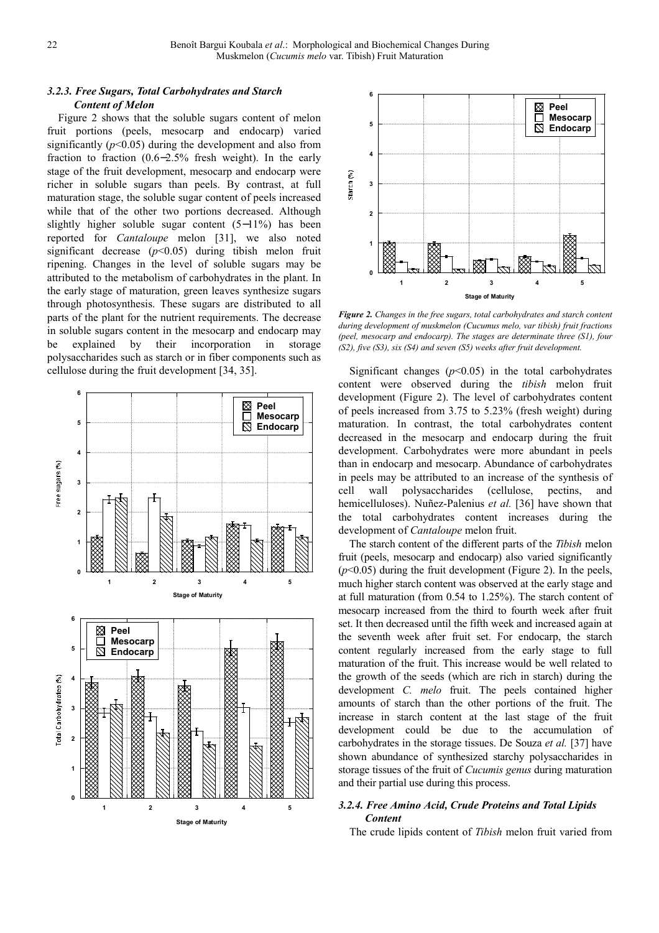## *3.2.3. Free Sugars, Total Carbohydrates and Starch Content of Melon*

Figure 2 shows that the soluble sugars content of melon fruit portions (peels, mesocarp and endocarp) varied significantly  $(p<0.05)$  during the development and also from fraction to fraction (0.6−2.5% fresh weight). In the early stage of the fruit development, mesocarp and endocarp were richer in soluble sugars than peels. By contrast, at full maturation stage, the soluble sugar content of peels increased while that of the other two portions decreased. Although slightly higher soluble sugar content (5−11%) has been reported for *Cantaloupe* melon [31], we also noted significant decrease  $(p<0.05)$  during tibish melon fruit ripening. Changes in the level of soluble sugars may be attributed to the metabolism of carbohydrates in the plant. In the early stage of maturation, green leaves synthesize sugars through photosynthesis. These sugars are distributed to all parts of the plant for the nutrient requirements. The decrease in soluble sugars content in the mesocarp and endocarp may be explained by their incorporation in storage polysaccharides such as starch or in fiber components such as cellulose during the fruit development [34, 35].





*Figure 2. Changes in the free sugars, total carbohydrates and starch content during development of muskmelon (Cucumus melo, var tibish) fruit fractions (peel, mesocarp and endocarp). The stages are determinate three (S1), four (S2), five (S3), six (S4) and seven (S5) weeks after fruit development.* 

Significant changes  $(p<0.05)$  in the total carbohydrates content were observed during the *tibish* melon fruit development (Figure 2). The level of carbohydrates content of peels increased from 3.75 to 5.23% (fresh weight) during maturation. In contrast, the total carbohydrates content decreased in the mesocarp and endocarp during the fruit development. Carbohydrates were more abundant in peels than in endocarp and mesocarp. Abundance of carbohydrates in peels may be attributed to an increase of the synthesis of cell wall polysaccharides (cellulose, pectins, and hemicelluloses). Nuñez-Palenius *et al.* [36] have shown that the total carbohydrates content increases during the development of *Cantaloupe* melon fruit.

The starch content of the different parts of the *Tibish* melon fruit (peels, mesocarp and endocarp) also varied significantly  $(p<0.05)$  during the fruit development (Figure 2). In the peels, much higher starch content was observed at the early stage and at full maturation (from 0.54 to 1.25%). The starch content of mesocarp increased from the third to fourth week after fruit set. It then decreased until the fifth week and increased again at the seventh week after fruit set. For endocarp, the starch content regularly increased from the early stage to full maturation of the fruit. This increase would be well related to the growth of the seeds (which are rich in starch) during the development *C. melo* fruit. The peels contained higher amounts of starch than the other portions of the fruit. The increase in starch content at the last stage of the fruit development could be due to the accumulation of carbohydrates in the storage tissues. De Souza *et al.* [37] have shown abundance of synthesized starchy polysaccharides in storage tissues of the fruit of *Cucumis genus* during maturation and their partial use during this process.

## *3.2.4. Free Amino Acid, Crude Proteins and Total Lipids Content*

The crude lipids content of *Tibish* melon fruit varied from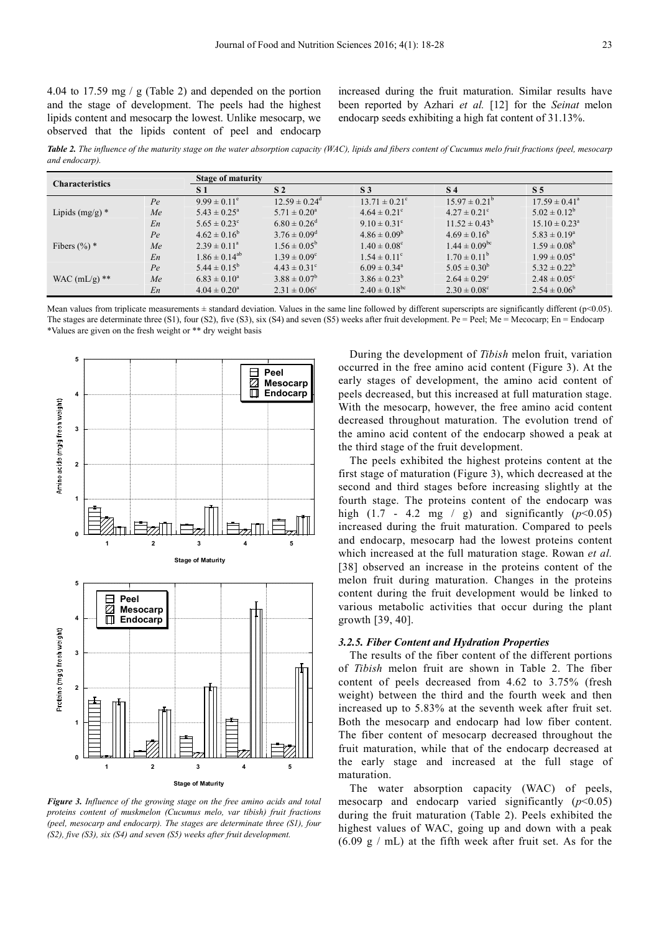4.04 to 17.59 mg / g (Table 2) and depended on the portion and the stage of development. The peels had the highest lipids content and mesocarp the lowest. Unlike mesocarp, we observed that the lipids content of peel and endocarp

increased during the fruit maturation. Similar results have been reported by Azhari *et al.* [12] for the *Seinat* melon endocarp seeds exhibiting a high fat content of 31.13%.

*Table 2. The influence of the maturity stage on the water absorption capacity (WAC), lipids and fibers content of Cucumus melo fruit fractions (peel, mesocarp and endocarp).* 

|                            |    |                         | <b>Stage of maturity</b>     |                              |                               |                            |  |  |  |
|----------------------------|----|-------------------------|------------------------------|------------------------------|-------------------------------|----------------------------|--|--|--|
| <b>Characteristics</b>     |    | S <sub>1</sub>          | S <sub>2</sub>               | S <sub>3</sub>               | <b>S</b> 4                    | S <sub>5</sub>             |  |  |  |
|                            | Pe | $9.99 \pm 0.11^e$       | $12.59 \pm 0.24^{\circ}$     | $13.71 \pm 0.21^{\circ}$     | $15.97 \pm 0.21^{\circ}$      | $17.59 \pm 0.41^{\circ}$   |  |  |  |
| Lipids $(mg/g)$ *          | Me | $5.43 \pm 0.25^{\circ}$ | $5.71 \pm 0.20^{\circ}$      | $4.64 \pm 0.21$ °            | $4.27 \pm 0.21^{\circ}$       | $5.02 \pm 0.12^b$          |  |  |  |
|                            | En | $5.65 \pm 0.23^{\circ}$ | $6.80 \pm 0.26$ <sup>d</sup> | $9.10 \pm 0.31^{\circ}$      | $11.52 \pm 0.43^b$            | $15.10 \pm 0.23^{\circ}$   |  |  |  |
|                            | Pe | $4.62 \pm 0.16^b$       | $3.76 \pm 0.09^{\rm d}$      | $4.86 \pm 0.09^b$            | $4.69 \pm 0.16^b$             | $5.83 \pm 0.19^a$          |  |  |  |
| Fibers $(\%)^*$            | Me | $2.39 \pm 0.11^{\circ}$ | $1.56 \pm 0.05^{\rm b}$      | $1.40 \pm 0.08$ <sup>c</sup> | $1.44 \pm 0.09$ <sup>bc</sup> | $1.59 \pm 0.08^b$          |  |  |  |
|                            | En | $1.86 \pm 0.14^{ab}$    | $1.39 \pm 0.09^{\circ}$      | $1.54 \pm 0.11^{\circ}$      | $1.70 \pm 0.11^{\rm b}$       | $1.99 \pm 0.05^{\text{a}}$ |  |  |  |
|                            | Pe | $5.44 \pm 0.15^b$       | $4.43 \pm 0.31^{\circ}$      | $6.09 \pm 0.34$ <sup>a</sup> | $5.05 \pm 0.30^b$             | $5.32 \pm 0.22^b$          |  |  |  |
| WAC $(mL/g)$ <sup>**</sup> | Me | $6.83 \pm 0.10^a$       | $3.88 \pm 0.07^b$            | $3.86 \pm 0.23^b$            | $2.64 \pm 0.29^{\circ}$       | $2.48 \pm 0.05^{\circ}$    |  |  |  |
|                            | En | $4.04 \pm 0.20^a$       | $2.31 \pm 0.06^{\circ}$      | $2.40 \pm 0.18^{bc}$         | $2.30 \pm 0.08^{\circ}$       | $2.54 \pm 0.06^b$          |  |  |  |

Mean values from triplicate measurements  $\pm$  standard deviation. Values in the same line followed by different superscripts are significantly different (p<0.05). The stages are determinate three (S1), four (S2), five (S3), six (S4) and seven (S5) weeks after fruit development. Pe = Peel; Me = Mecocarp; En = Endocarp \*Values are given on the fresh weight or \*\* dry weight basis



*Figure 3. Influence of the growing stage on the free amino acids and total proteins content of muskmelon (Cucumus melo, var tibish) fruit fractions (peel, mesocarp and endocarp). The stages are determinate three (S1), four (S2), five (S3), six (S4) and seven (S5) weeks after fruit development.* 

During the development of *Tibish* melon fruit, variation occurred in the free amino acid content (Figure 3). At the early stages of development, the amino acid content of peels decreased, but this increased at full maturation stage. With the mesocarp, however, the free amino acid content decreased throughout maturation. The evolution trend of the amino acid content of the endocarp showed a peak at the third stage of the fruit development.

The peels exhibited the highest proteins content at the first stage of maturation (Figure 3), which decreased at the second and third stages before increasing slightly at the fourth stage. The proteins content of the endocarp was high (1.7 - 4.2 mg / g) and significantly (*p*<0.05) increased during the fruit maturation. Compared to peels and endocarp, mesocarp had the lowest proteins content which increased at the full maturation stage. Rowan *et al.* [38] observed an increase in the proteins content of the melon fruit during maturation. Changes in the proteins content during the fruit development would be linked to various metabolic activities that occur during the plant growth [39, 40].

#### *3.2.5. Fiber Content and Hydration Properties*

The results of the fiber content of the different portions of *Tibish* melon fruit are shown in Table 2. The fiber content of peels decreased from 4.62 to 3.75% (fresh weight) between the third and the fourth week and then increased up to 5.83% at the seventh week after fruit set. Both the mesocarp and endocarp had low fiber content. The fiber content of mesocarp decreased throughout the fruit maturation, while that of the endocarp decreased at the early stage and increased at the full stage of maturation.

The water absorption capacity (WAC) of peels, mesocarp and endocarp varied significantly  $(p<0.05)$ during the fruit maturation (Table 2). Peels exhibited the highest values of WAC, going up and down with a peak  $(6.09 \text{ g} / \text{mL})$  at the fifth week after fruit set. As for the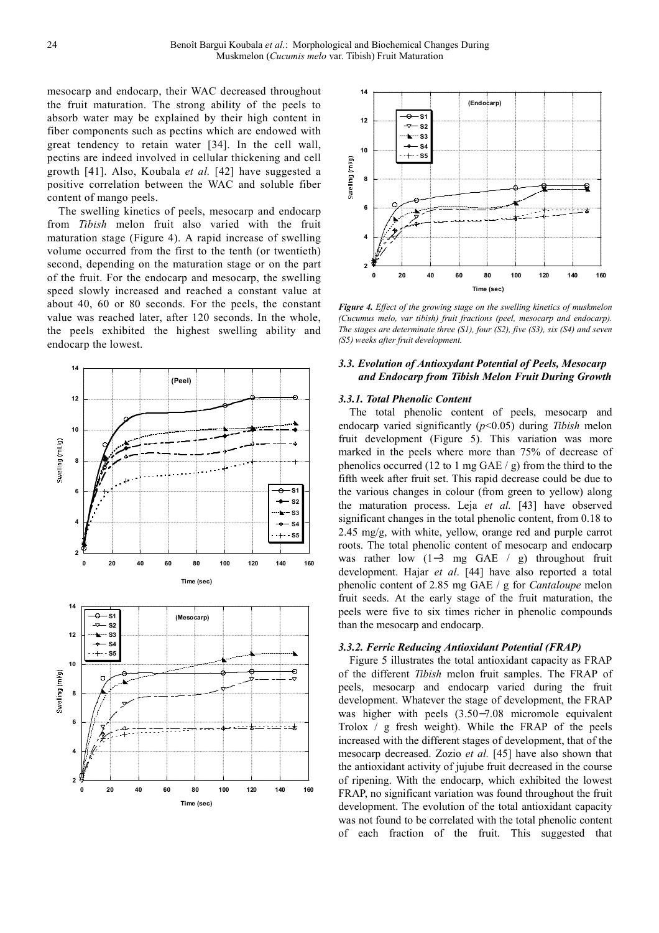mesocarp and endocarp, their WAC decreased throughout the fruit maturation. The strong ability of the peels to absorb water may be explained by their high content in fiber components such as pectins which are endowed with great tendency to retain water [34]. In the cell wall, pectins are indeed involved in cellular thickening and cell growth [41]. Also, Koubala *et al.* [42] have suggested a positive correlation between the WAC and soluble fiber content of mango peels.

The swelling kinetics of peels, mesocarp and endocarp from *Tibish* melon fruit also varied with the fruit maturation stage (Figure 4). A rapid increase of swelling volume occurred from the first to the tenth (or twentieth) second, depending on the maturation stage or on the part of the fruit. For the endocarp and mesocarp, the swelling speed slowly increased and reached a constant value at about 40, 60 or 80 seconds. For the peels, the constant value was reached later, after 120 seconds. In the whole, the peels exhibited the highest swelling ability and endocarp the lowest.





*Figure 4. Effect of the growing stage on the swelling kinetics of muskmelon (Cucumus melo, var tibish) fruit fractions (peel, mesocarp and endocarp). The stages are determinate three (S1), four (S2), five (S3), six (S4) and seven (S5) weeks after fruit development.* 

## *3.3. Evolution of Antioxydant Potential of Peels, Mesocarp and Endocarp from Tibish Melon Fruit During Growth*

#### *3.3.1. Total Phenolic Content*

The total phenolic content of peels, mesocarp and endocarp varied significantly (*p*<0.05) during *Tibish* melon fruit development (Figure 5). This variation was more marked in the peels where more than 75% of decrease of phenolics occurred (12 to 1 mg GAE  $/$  g) from the third to the fifth week after fruit set. This rapid decrease could be due to the various changes in colour (from green to yellow) along the maturation process. Leja *et al.* [43] have observed significant changes in the total phenolic content, from 0.18 to 2.45 mg/g, with white, yellow, orange red and purple carrot roots. The total phenolic content of mesocarp and endocarp was rather low (1−3 mg GAE / g) throughout fruit development. Hajar *et al*. [44] have also reported a total phenolic content of 2.85 mg GAE / g for *Cantaloupe* melon fruit seeds. At the early stage of the fruit maturation, the peels were five to six times richer in phenolic compounds than the mesocarp and endocarp.

## *3.3.2. Ferric Reducing Antioxidant Potential (FRAP)*

Figure 5 illustrates the total antioxidant capacity as FRAP of the different *Tibish* melon fruit samples. The FRAP of peels, mesocarp and endocarp varied during the fruit development. Whatever the stage of development, the FRAP was higher with peels (3.50−7.08 micromole equivalent Trolox / g fresh weight). While the FRAP of the peels increased with the different stages of development, that of the mesocarp decreased. Zozio *et al.* [45] have also shown that the antioxidant activity of jujube fruit decreased in the course of ripening. With the endocarp, which exhibited the lowest FRAP, no significant variation was found throughout the fruit development. The evolution of the total antioxidant capacity was not found to be correlated with the total phenolic content of each fraction of the fruit. This suggested that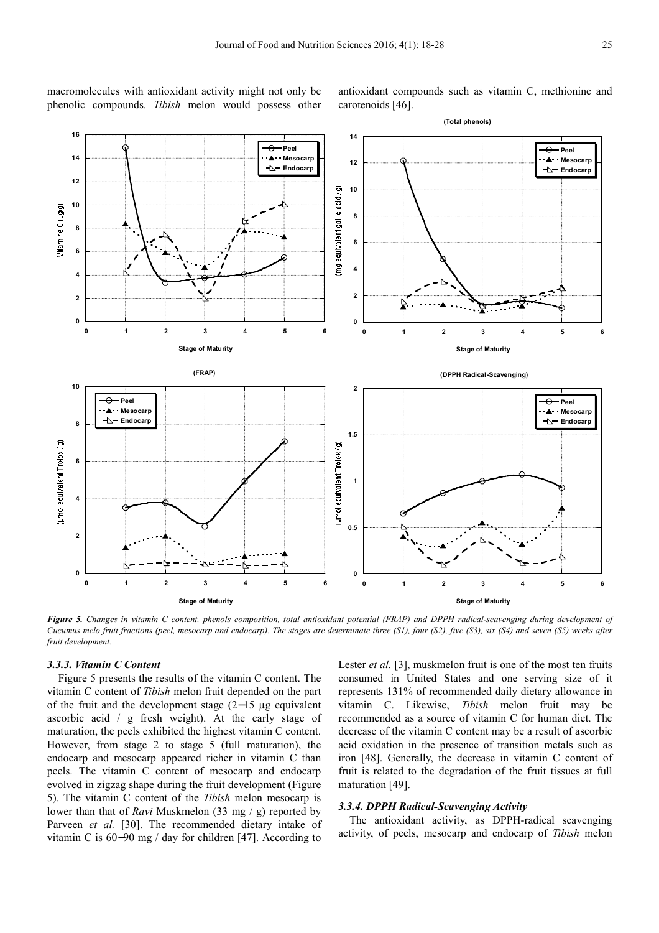macromolecules with antioxidant activity might not only be phenolic compounds. *Tibish* melon would possess other antioxidant compounds such as vitamin C, methionine and carotenoids [46].



*Figure 5. Changes in vitamin C content, phenols composition, total antioxidant potential (FRAP) and DPPH radical-scavenging during development of Cucumus melo fruit fractions (peel, mesocarp and endocarp). The stages are determinate three (S1), four (S2), five (S3), six (S4) and seven (S5) weeks after fruit development.* 

#### *3.3.3. Vitamin C Content*

Figure 5 presents the results of the vitamin C content. The vitamin C content of *Tibish* melon fruit depended on the part of the fruit and the development stage (2−15 µg equivalent ascorbic acid / g fresh weight). At the early stage of maturation, the peels exhibited the highest vitamin C content. However, from stage 2 to stage 5 (full maturation), the endocarp and mesocarp appeared richer in vitamin C than peels. The vitamin C content of mesocarp and endocarp evolved in zigzag shape during the fruit development (Figure 5). The vitamin C content of the *Tibish* melon mesocarp is lower than that of *Ravi* Muskmelon (33 mg / g) reported by Parveen *et al.* [30]. The recommended dietary intake of vitamin C is 60−90 mg / day for children [47]. According to

Lester *et al.* [3], muskmelon fruit is one of the most ten fruits consumed in United States and one serving size of it represents 131% of recommended daily dietary allowance in vitamin C. Likewise, *Tibish* melon fruit may be recommended as a source of vitamin C for human diet. The decrease of the vitamin C content may be a result of ascorbic acid oxidation in the presence of transition metals such as iron [48]. Generally, the decrease in vitamin C content of fruit is related to the degradation of the fruit tissues at full maturation [49].

## *3.3.4. DPPH Radical-Scavenging Activity*

The antioxidant activity, as DPPH-radical scavenging activity, of peels, mesocarp and endocarp of *Tibish* melon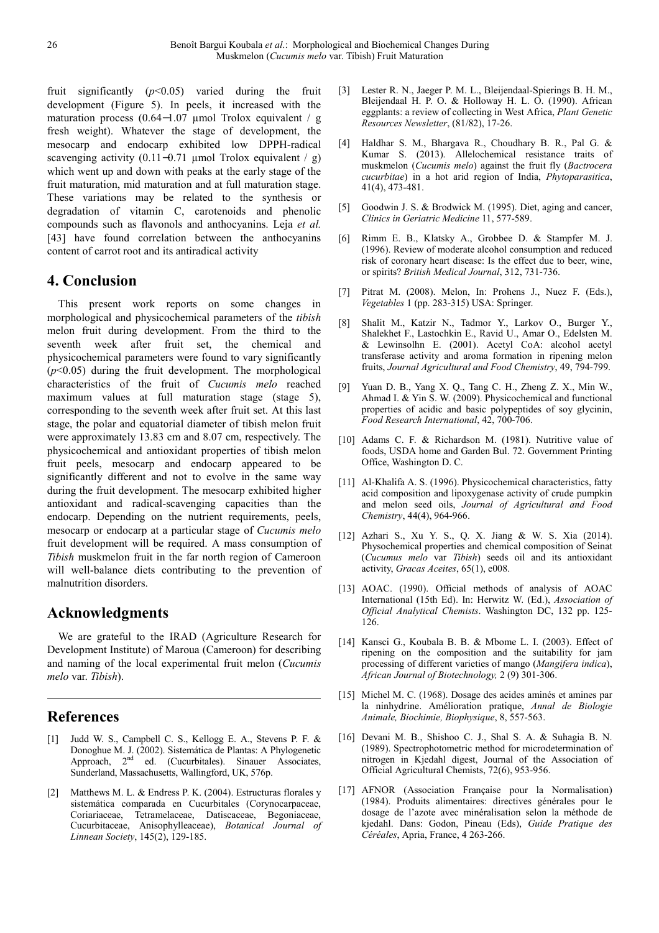fruit significantly (*p*<0.05) varied during the fruit development (Figure 5). In peels, it increased with the maturation process (0.64−1.07 µmol Trolox equivalent / g fresh weight). Whatever the stage of development, the mesocarp and endocarp exhibited low DPPH-radical scavenging activity  $(0.11-0.71 \text{ \mu mol} \text{ Trolox equivalent } / \text{ g})$ which went up and down with peaks at the early stage of the fruit maturation, mid maturation and at full maturation stage. These variations may be related to the synthesis or degradation of vitamin C, carotenoids and phenolic compounds such as flavonols and anthocyanins. Leja *et al.* [43] have found correlation between the anthocyanins content of carrot root and its antiradical activity

# **4. Conclusion**

This present work reports on some changes in morphological and physicochemical parameters of the *tibish*  melon fruit during development. From the third to the seventh week after fruit set, the chemical and physicochemical parameters were found to vary significantly (*p*<0.05) during the fruit development. The morphological characteristics of the fruit of *Cucumis melo* reached maximum values at full maturation stage (stage 5), corresponding to the seventh week after fruit set. At this last stage, the polar and equatorial diameter of tibish melon fruit were approximately 13.83 cm and 8.07 cm, respectively. The physicochemical and antioxidant properties of tibish melon fruit peels, mesocarp and endocarp appeared to be significantly different and not to evolve in the same way during the fruit development. The mesocarp exhibited higher antioxidant and radical-scavenging capacities than the endocarp. Depending on the nutrient requirements, peels, mesocarp or endocarp at a particular stage of *Cucumis melo* fruit development will be required. A mass consumption of *Tibish* muskmelon fruit in the far north region of Cameroon will well-balance diets contributing to the prevention of malnutrition disorders.

# **Acknowledgments**

We are grateful to the IRAD (Agriculture Research for Development Institute) of Maroua (Cameroon) for describing and naming of the local experimental fruit melon (*Cucumis melo* var. *Tibish*).

# **References**

- [1] Judd W. S., Campbell C. S., Kellogg E. A., Stevens P. F. & Donoghue M. J. (2002). Sistemática de Plantas: A Phylogenetic Approach, 2<sup>nd</sup> ed. (Cucurbitales). Sinauer Associates, Sunderland, Massachusetts, Wallingford, UK, 576p.
- [2] Matthews M. L. & Endress P. K. (2004). Estructuras florales y sistemática comparada en Cucurbitales (Corynocarpaceae, Coriariaceae, Tetramelaceae, Datiscaceae, Begoniaceae, Cucurbitaceae, Anisophylleaceae), *Botanical Journal of Linnean Society*, 145(2), 129-185.
- [3] Lester R. N., Jaeger P. M. L., Bleijendaal-Spierings B. H. M., Bleijendaal H. P. O. & Holloway H. L. O. (1990). African eggplants: a review of collecting in West Africa, *Plant Genetic Resources Newsletter*, (81/82), 17-26.
- [4] Haldhar S. M., Bhargava R., Choudhary B. R., Pal G. & Kumar S. (2013). Allelochemical resistance traits of muskmelon (*Cucumis melo*) against the fruit fly (*Bactrocera cucurbitae*) in a hot arid region of India, *Phytoparasitica*, 41(4), 473-481.
- [5] Goodwin J. S. & Brodwick M. (1995). Diet, aging and cancer, *Clinics in Geriatric Medicine* 11, 577-589.
- [6] Rimm E. B., Klatsky A., Grobbee D. & Stampfer M. J. (1996). Review of moderate alcohol consumption and reduced risk of coronary heart disease: Is the effect due to beer, wine, or spirits? *British Medical Journal*, 312, 731-736.
- [7] Pitrat M. (2008). Melon, In: Prohens J., Nuez F. (Eds.), *Vegetables* 1 (pp. 283-315) USA: Springer.
- [8] Shalit M., Katzir N., Tadmor Y., Larkov O., Burger Y., Shalekhet F., Lastochkin E., Ravid U., Amar O., Edelsten M. & Lewinsolhn E. (2001). Acetyl CoA: alcohol acetyl transferase activity and aroma formation in ripening melon fruits, *Journal Agricultural and Food Chemistry*, 49, 794-799.
- [9] Yuan D. B., Yang X. Q., Tang C. H., Zheng Z. X., Min W., Ahmad I. & Yin S. W. (2009). Physicochemical and functional properties of acidic and basic polypeptides of soy glycinin, *Food Research International*, 42, 700-706.
- [10] Adams C. F. & Richardson M. (1981). Nutritive value of foods, USDA home and Garden Bul. 72. Government Printing Office, Washington D. C.
- [11] Al-Khalifa A. S. (1996). Physicochemical characteristics, fatty acid composition and lipoxygenase activity of crude pumpkin and melon seed oils, *Journal of Agricultural and Food Chemistry*, 44(4), 964-966.
- [12] Azhari S., Xu Y. S., Q. X. Jiang & W. S. Xia (2014). Physochemical properties and chemical composition of Seinat (*Cucumus melo* var *Tibish*) seeds oil and its antioxidant activity, *Gracas Aceites*, 65(1), e008.
- [13] AOAC. (1990). Official methods of analysis of AOAC International (15th Ed). In: Herwitz W. (Ed.), *Association of Official Analytical Chemists*. Washington DC, 132 pp. 125- 126.
- [14] Kansci G., Koubala B. B. & Mbome L. I. (2003). Effect of ripening on the composition and the suitability for jam processing of different varieties of mango (*Mangifera indica*), *African Journal of Biotechnology,* 2 (9) 301-306.
- [15] Michel M. C. (1968). Dosage des acides aminés et amines par la ninhydrine. Amélioration pratique, *Annal de Biologie Animale, Biochimie, Biophysique*, 8, 557-563.
- [16] Devani M. B., Shishoo C. J., Shal S. A. & Suhagia B. N. (1989). Spectrophotometric method for microdetermination of nitrogen in Kjedahl digest, Journal of the Association of Official Agricultural Chemists, 72(6), 953-956.
- [17] AFNOR (Association Française pour la Normalisation) (1984). Produits alimentaires: directives générales pour le dosage de l'azote avec minéralisation selon la méthode de kjedahl. Dans: Godon, Pineau (Eds), *Guide Pratique des Céréales*, Apria, France, 4 263-266.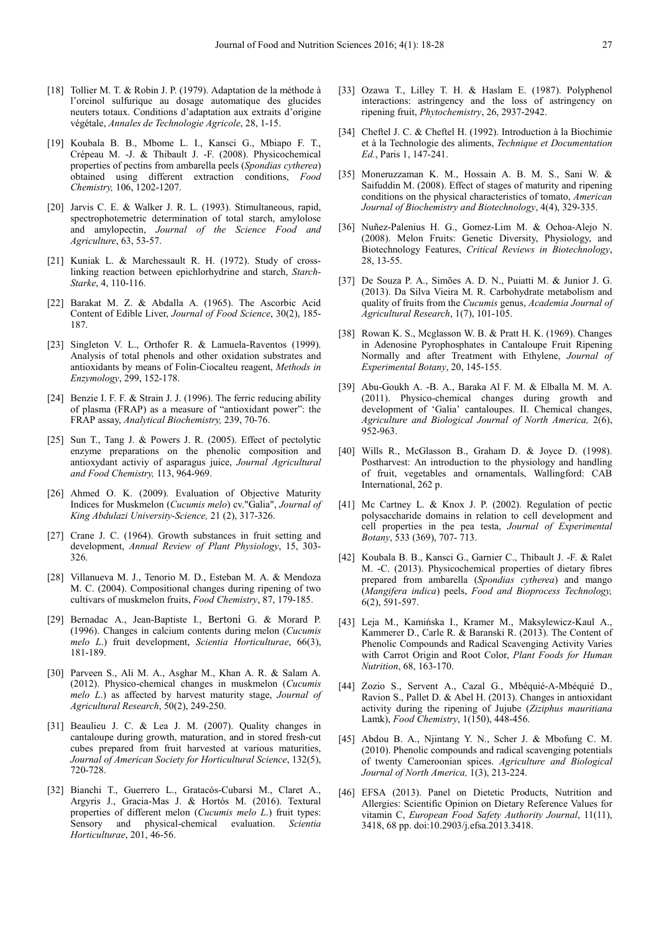- [18] Tollier M. T. & Robin J. P. (1979). Adaptation de la méthode à l'orcinol sulfurique au dosage automatique des glucides neuters totaux. Conditions d'adaptation aux extraits d'origine végétale, *Annales de Technologie Agricole*, 28, 1-15.
- [19] Koubala B. B., Mbome L. I., Kansci G., Mbiapo F. T., Crépeau M. -J. & Thibault J. -F. (2008). Physicochemical properties of pectins from ambarella peels (*Spondias cytherea*) obtained using different extraction conditions, *Food Chemistry,* 106, 1202-1207.
- [20] Jarvis C. E. & Walker J. R. L. (1993). Stimultaneous, rapid, spectrophotemetric determination of total starch, amylolose and amylopectin, *Journal of the Science Food and Agriculture*, 63, 53-57.
- [21] Kuniak L. & Marchessault R. H. (1972). Study of crosslinking reaction between epichlorhydrine and starch, *Starch-Starke*, 4, 110-116.
- [22] Barakat M. Z. & Abdalla A. (1965). The Ascorbic Acid Content of Edible Liver, *Journal of Food Science*, 30(2), 185- 187.
- [23] Singleton V. L., Orthofer R. & Lamuela-Raventos (1999). Analysis of total phenols and other oxidation substrates and antioxidants by means of Folin-Ciocalteu reagent, *Methods in Enzymology*, 299, 152-178.
- [24] Benzie I. F. F. & Strain J. J. (1996). The ferric reducing ability of plasma (FRAP) as a measure of "antioxidant power": the FRAP assay, *Analytical Biochemistry,* 239, 70-76.
- [25] Sun T., Tang J. & Powers J. R. (2005). Effect of pectolytic enzyme preparations on the phenolic composition and antioxydant activiy of asparagus juice, *Journal Agricultural and Food Chemistry,* 113, 964-969.
- [26] Ahmed O. K. (2009). Evaluation of Objective Maturity Indices for Muskmelon (*Cucumis melo*) cv."Galia", *Journal of King Abdulazi University-Science,* 21 (2), 317-326.
- [27] Crane J. C. (1964). Growth substances in fruit setting and development, *Annual Review of Plant Physiology*, 15, 303- 326.
- [28] Villanueva M. J., Tenorio M. D., Esteban M. A. & Mendoza M. C. (2004). Compositional changes during ripening of two cultivars of muskmelon fruits, *Food Chemistry*, 87, 179-185.
- [29] Bernadac A., Jean-Baptiste I., Bertoni G. & Morard P. (1996). Changes in calcium contents during melon (*Cucumis melo L*.) fruit development, *Scientia Horticulturae*, 66(3), 181-189.
- [30] Parveen S., Ali M. A., Asghar M., Khan A. R. & Salam A. (2012). Physico-chemical changes in muskmelon (*Cucumis melo L*.) as affected by harvest maturity stage, *Journal of Agricultural Research*, 50(2), 249-250.
- [31] Beaulieu J. C. & Lea J. M. (2007). Quality changes in cantaloupe during growth, maturation, and in stored fresh-cut cubes prepared from fruit harvested at various maturities, *Journal of American Society for Horticultural Science*, 132(5), 720-728.
- [32] Bianchi T., Guerrero L., Gratacós-Cubarsí M., Claret A., Argyris J., Gracia-Mas J. & Hortós M. (2016). Textural properties of different melon (*Cucumis melo L*.) fruit types: Sensory and physical-chemical evaluation. *Scientia Horticulturae*, 201, 46-56.
- [33] Ozawa T., Lilley T. H. & Haslam E. (1987). Polyphenol interactions: astringency and the loss of astringency on ripening fruit, *Phytochemistry*, 26, 2937-2942.
- [34] Cheftel J. C. & Cheftel H. (1992). Introduction à la Biochimie et à la Technologie des aliments, *Technique et Documentation Ed.*, Paris 1, 147-241.
- [35] Moneruzzaman K. M., Hossain A. B. M. S., Sani W. & Saifuddin M. (2008). Effect of stages of maturity and ripening conditions on the physical characteristics of tomato, *American Journal of Biochemistry and Biotechnology*, 4(4), 329-335.
- [36] Nuñez-Palenius H. G., Gomez-Lim M. & Ochoa-Alejo N. (2008). Melon Fruits: Genetic Diversity, Physiology, and Biotechnology Features, *Critical Reviews in Biotechnology*, 28, 13-55.
- [37] De Souza P. A., Simões A. D. N., Puiatti M. & Junior J. G. (2013). Da Silva Vieira M. R. Carbohydrate metabolism and quality of fruits from the *Cucumis* genus, *Academia Journal of Agricultural Research*, 1(7), 101-105.
- [38] Rowan K. S., Mcglasson W. B. & Pratt H. K. (1969). Changes in Adenosine Pyrophosphates in Cantaloupe Fruit Ripening Normally and after Treatment with Ethylene, *Journal of Experimental Botany*, 20, 145-155.
- [39] Abu-Goukh A. -B. A., Baraka Al F. M. & Elballa M. M. A. (2011). Physico-chemical changes during growth and development of 'Galia' cantaloupes. II. Chemical changes, *Agriculture and Biological Journal of North America,* 2(6), 952-963.
- [40] Wills R., McGlasson B., Graham D. & Joyce D. (1998). Postharvest: An introduction to the physiology and handling of fruit, vegetables and ornamentals, Wallingford: CAB International, 262 p.
- [41] Mc Cartney L. & Knox J. P. (2002). Regulation of pectic polysaccharide domains in relation to cell development and cell properties in the pea testa, *Journal of Experimental Botany*, 533 (369), 707- 713.
- [42] Koubala B. B., Kansci G., Garnier C., Thibault J. -F. & Ralet M. -C. (2013). Physicochemical properties of dietary fibres prepared from ambarella (*Spondias cytherea*) and mango (*Mangifera indica*) peels, *Food and Bioprocess Technology,*  6(2), 591-597.
- [43] Leja M., Kamińska I., Kramer M., Maksylewicz-Kaul A., Kammerer D., Carle R. & Baranski R. (2013). The Content of Phenolic Compounds and Radical Scavenging Activity Varies with Carrot Origin and Root Color, *Plant Foods for Human Nutrition*, 68, 163-170.
- [44] Zozio S., Servent A., Cazal G., Mbéquié-A-Mbéquié D., Ravion S., Pallet D. & Abel H. (2013). Changes in antioxidant activity during the ripening of Jujube (*Ziziphus mauritiana* Lamk), *Food Chemistry*, 1(150), 448-456.
- [45] Abdou B. A., Njintang Y. N., Scher J. & Mbofung C. M. (2010). Phenolic compounds and radical scavenging potentials of twenty Cameroonian spices. *Agriculture and Biological Journal of North America,* 1(3), 213-224.
- [46] EFSA (2013). Panel on Dietetic Products, Nutrition and Allergies: Scientific Opinion on Dietary Reference Values for vitamin C, *European Food Safety Authority Journal*, 11(11), 3418, 68 pp. doi:10.2903/j.efsa.2013.3418.